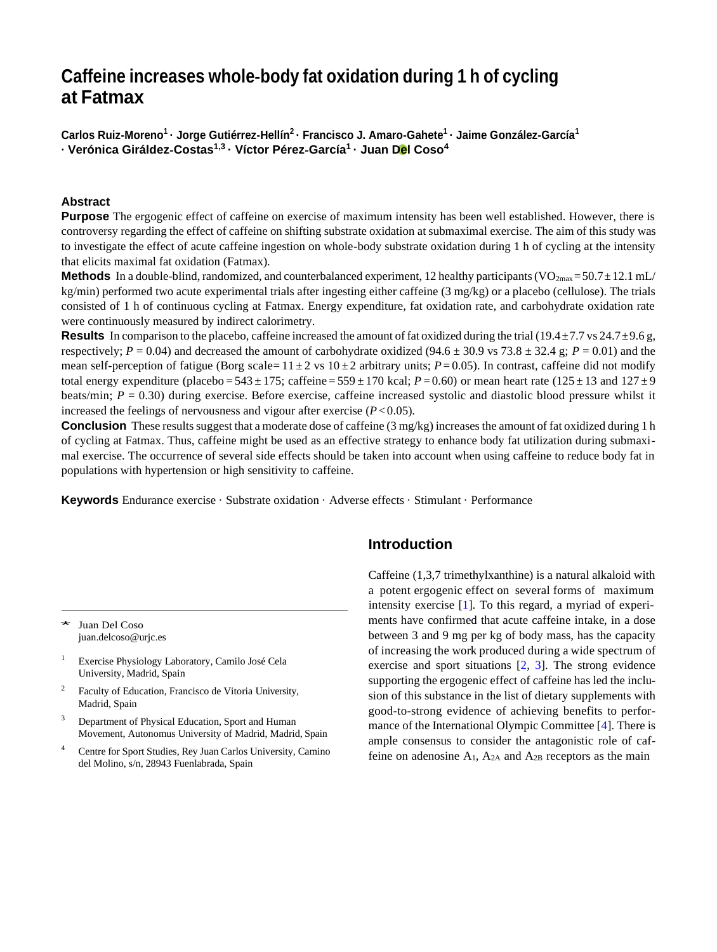# **Caffeine increases whole**‑**body fat oxidation during 1 h of cycling at Fatmax**

**Carlos Ruiz**‑**Moreno<sup>1</sup>· Jorge Gutiérrez**‑**Hellín<sup>2</sup>· Francisco J. Amaro**‑**Gahete<sup>1</sup>· Jaime González**‑**García<sup>1</sup> · Verónica Giráldez**‑**Costas1,3 · Víctor Pérez**‑**García<sup>1</sup>· Juan Del Coso<sup>4</sup>**

#### **Abstract**

**Purpose** The ergogenic effect of caffeine on exercise of maximum intensity has been well established. However, there is controversy regarding the effect of caffeine on shifting substrate oxidation at submaximal exercise. The aim of this study was to investigate the effect of acute caffeine ingestion on whole-body substrate oxidation during 1 h of cycling at the intensity that elicits maximal fat oxidation (Fatmax).

**Methods** In a double-blind, randomized, and counterbalanced experiment, 12 healthy participants (VO<sub>2max</sub>=50.7 $\pm$ 12.1 mL/ kg/min) performed two acute experimental trials after ingesting either caffeine (3 mg/kg) or a placebo (cellulose). The trials consisted of 1 h of continuous cycling at Fatmax. Energy expenditure, fat oxidation rate, and carbohydrate oxidation rate were continuously measured by indirect calorimetry.

**Results** In comparison to the placebo, caffeine increased the amount of fat oxidized during the trial (19.4 $\pm$ 7.7 vs 24.7 $\pm$ 9.6 g, respectively;  $P = 0.04$ ) and decreased the amount of carbohydrate oxidized (94.6  $\pm$  30.9 vs 73.8  $\pm$  32.4 g;  $P = 0.01$ ) and the mean self-perception of fatigue (Borg scale=  $11 \pm 2$  vs  $10 \pm 2$  arbitrary units;  $P = 0.05$ ). In contrast, caffeine did not modify total energy expenditure (placebo =  $543 \pm 175$ ; caffeine =  $559 \pm 170$  kcal;  $P = 0.60$ ) or mean heart rate ( $125 \pm 13$  and  $127 \pm 9$ ) beats/min; *P* = 0.30) during exercise. Before exercise, caffeine increased systolic and diastolic blood pressure whilst it increased the feelings of nervousness and vigour after exercise  $(P<0.05)$ .

**Conclusion** These results suggest that a moderate dose of caffeine (3 mg/kg) increases the amount of fat oxidized during 1 h of cycling at Fatmax. Thus, caffeine might be used as an effective strategy to enhance body fat utilization during submaximal exercise. The occurrence of several side effects should be taken into account when using caffeine to reduce body fat in populations with hypertension or high sensitivity to caffeine.

**Keywords** Endurance exercise · Substrate oxidation · Adverse effects · Stimulant · Performance

Juan Del Coso [juan.delcoso@urjc.es](mailto:juan.delcoso@urjc.es)

<sup>1</sup> Exercise Physiology Laboratory, Camilo José Cela University, Madrid, Spain

- <sup>2</sup> Faculty of Education, Francisco de Vitoria University, Madrid, Spain
- <sup>3</sup> Department of Physical Education, Sport and Human Movement, Autonomus University of Madrid, Madrid, Spain
- <sup>4</sup> Centre for Sport Studies, Rey Juan Carlos University, Camino del Molino, s/n, 28943 Fuenlabrada, Spain

# **Introduction**

Caffeine (1,3,7 trimethylxanthine) is a natural alkaloid with a potent ergogenic effect on several forms of maximum intensity exercise [\[1\]](#page-7-0). To this regard, a myriad of experi ments have confirmed that acute caffeine intake, in a dose between 3 and 9 mg per kg of body mass, has the capacity of increasing the work produced during a wide spectrum of exercise and sport situations [\[2,](#page-7-1) [3\]](#page-7-2). The strong evidence supporting the ergogenic effect of caffeine has led the inclusion of this substance in the list of dietary supplements with good-to-strong evidence of achieving benefits to performance of the International Olympic Committee [\[4\]](#page-7-3). There is ample consensus to consider the antagonistic role of caffeine on adenosine  $A_1$ ,  $A_{2A}$  and  $A_{2B}$  receptors as the main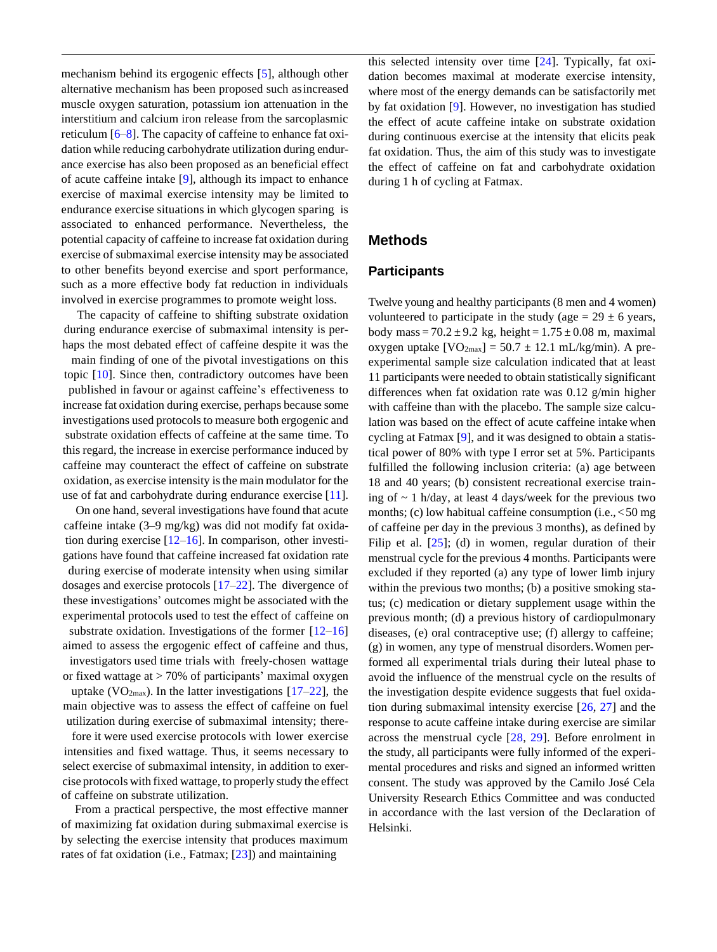mechanism behind its ergogenic effects [\[5\]](#page-7-4), although other alternative mechanism has been proposed such asincreased muscle oxygen saturation, potassium ion attenuation in the interstitium and calcium iron release from the sarcoplasmic reticulum [\[6–](#page-7-5)[8\]](#page-7-6). The capacity of caffeine to enhance fat oxidation while reducing carbohydrate utilization during endurance exercise has also been proposed as an beneficial effect of acute caffeine intake [\[9\]](#page-7-7), although its impact to enhance exercise of maximal exercise intensity may be limited to endurance exercise situations in which glycogen sparing is associated to enhanced performance. Nevertheless, the potential capacity of caffeine to increase fat oxidation during exercise of submaximal exercise intensity may be associated to other benefits beyond exercise and sport performance, such as a more effective body fat reduction in individuals involved in exercise programmes to promote weight loss.

The capacity of caffeine to shifting substrate oxidation during endurance exercise of submaximal intensity is perhaps the most debated effect of caffeine despite it was the main finding of one of the pivotal investigations on this topic [\[10\]](#page-7-8). Since then, contradictory outcomes have been published in favour or against caffeine's effectiveness to increase fat oxidation during exercise, perhaps because some investigations used protocols to measure both ergogenic and substrate oxidation effects of caffeine at the same time. To this regard, the increase in exercise performance induced by caffeine may counteract the effect of caffeine on substrate oxidation, as exercise intensity isthe main modulator for the use of fat and carbohydrate during endurance exercise [\[11\]](#page-7-9).

On one hand, several investigations have found that acute caffeine intake (3–9 mg/kg) was did not modify fat oxidation during exercise  $[12-16]$  $[12-16]$ . In comparison, other investigations have found that caffeine increased fat oxidation rate during exercise of moderate intensity when using similar dosages and exercise protocols [\[17](#page-7-12)[–22\]](#page-7-13). The divergence of these investigations' outcomes might be associated with the experimental protocols used to test the effect of caffeine on substrate oxidation. Investigations of the former  $[12-16]$  $[12-16]$ aimed to assess the ergogenic effect of caffeine and thus, investigators used time trials with freely-chosen wattage or fixed wattage at > 70% of participants' maximal oxygen uptake (VO<sub>2max</sub>). In the latter investigations  $[17–22]$  $[17–22]$ , the main objective was to assess the effect of caffeine on fuel utilization during exercise of submaximal intensity; there-

fore it were used exercise protocols with lower exercise intensities and fixed wattage. Thus, it seems necessary to select exercise of submaximal intensity, in addition to exercise protocols with fixed wattage, to properly study the effect of caffeine on substrate utilization.

From a practical perspective, the most effective manner of maximizing fat oxidation during submaximal exercise is by selecting the exercise intensity that produces maximum rates of fat oxidation (i.e., Fatmax; [\[23\]](#page-7-14)) and maintaining

this selected intensity over time [\[24\]](#page-7-15). Typically, fat oxidation becomes maximal at moderate exercise intensity, where most of the energy demands can be satisfactorily met by fat oxidation [\[9\]](#page-7-7). However, no investigation has studied the effect of acute caffeine intake on substrate oxidation during continuous exercise at the intensity that elicits peak fat oxidation. Thus, the aim of this study was to investigate the effect of caffeine on fat and carbohydrate oxidation during 1 h of cycling at Fatmax.

#### **Methods**

#### **Participants**

Twelve young and healthy participants (8 men and 4 women) volunteered to participate in the study (age  $= 29 \pm 6$  years, body mass =  $70.2 \pm 9.2$  kg, height =  $1.75 \pm 0.08$  m, maximal oxygen uptake  $[VO<sub>2max</sub>] = 50.7 \pm 12.1 \text{ mL/kg/min}$ . A preexperimental sample size calculation indicated that at least 11 participants were needed to obtain statistically significant differences when fat oxidation rate was 0.12 g/min higher with caffeine than with the placebo. The sample size calculation was based on the effect of acute caffeine intake when cycling at Fatmax [\[9\]](#page-7-7), and it was designed to obtain a statistical power of 80% with type I error set at 5%. Participants fulfilled the following inclusion criteria: (a) age between 18 and 40 years; (b) consistent recreational exercise training of  $\sim$  1 h/day, at least 4 days/week for the previous two months; (c) low habitual caffeine consumption (i.e.,<50 mg of caffeine per day in the previous 3 months), as defined by Filip et al.  $[25]$ ; (d) in women, regular duration of their menstrual cycle for the previous 4 months. Participants were excluded if they reported (a) any type of lower limb injury within the previous two months; (b) a positive smoking status; (c) medication or dietary supplement usage within the previous month; (d) a previous history of cardiopulmonary diseases, (e) oral contraceptive use; (f) allergy to caffeine; (g) in women, any type of menstrual disorders.Women performed all experimental trials during their luteal phase to avoid the influence of the menstrual cycle on the results of the investigation despite evidence suggests that fuel oxidation during submaximal intensity exercise [\[26,](#page-7-17) [27\]](#page-7-18) and the response to acute caffeine intake during exercise are similar across the menstrual cycle [\[28,](#page-7-19) [29\]](#page-8-0). Before enrolment in the study, all participants were fully informed of the experimental procedures and risks and signed an informed written consent. The study was approved by the Camilo José Cela University Research Ethics Committee and was conducted in accordance with the last version of the Declaration of Helsinki.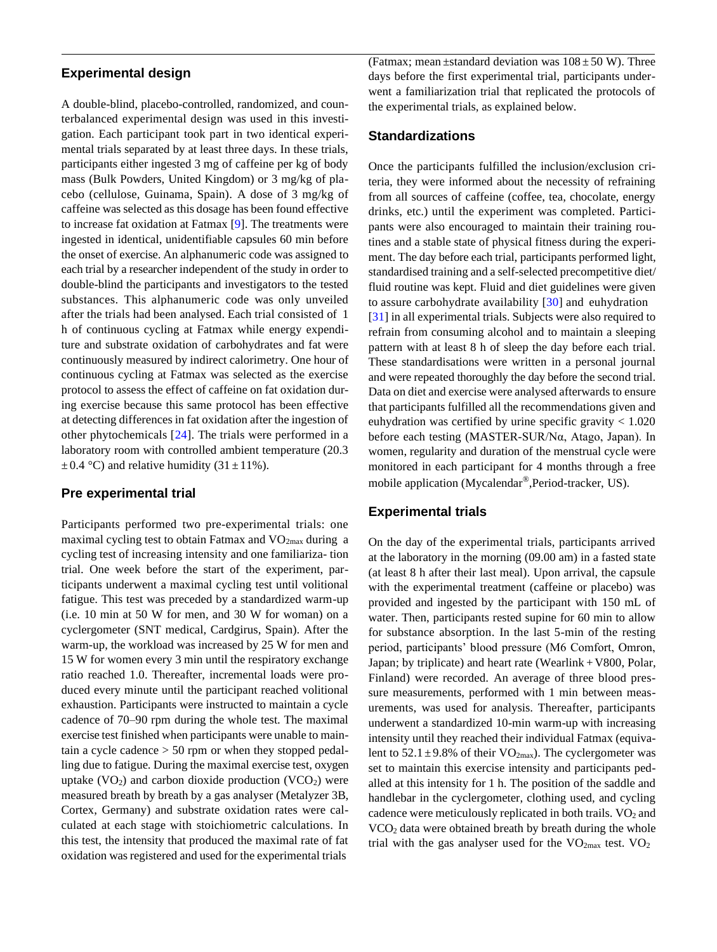### **Experimental design**

A double-blind, placebo-controlled, randomized, and counterbalanced experimental design was used in this investigation. Each participant took part in two identical experimental trials separated by at least three days. In these trials, participants either ingested 3 mg of caffeine per kg of body mass (Bulk Powders, United Kingdom) or 3 mg/kg of placebo (cellulose, Guinama, Spain). A dose of 3 mg/kg of caffeine was selected as this dosage has been found effective to increase fat oxidation at Fatmax [\[9\]](#page-7-7). The treatments were ingested in identical, unidentifiable capsules 60 min before the onset of exercise. An alphanumeric code was assigned to each trial by a researcher independent of the study in order to double-blind the participants and investigators to the tested substances. This alphanumeric code was only unveiled after the trials had been analysed. Each trial consisted of 1 h of continuous cycling at Fatmax while energy expenditure and substrate oxidation of carbohydrates and fat were continuously measured by indirect calorimetry. One hour of continuous cycling at Fatmax was selected as the exercise protocol to assess the effect of caffeine on fat oxidation during exercise because this same protocol has been effective at detecting differences in fat oxidation after the ingestion of other phytochemicals [\[24\]](#page-7-15). The trials were performed in a laboratory room with controlled ambient temperature (20.3  $\pm$  0.4 °C) and relative humidity (31  $\pm$  11%).

#### **Pre experimental trial**

Participants performed two pre-experimental trials: one maximal cycling test to obtain Fatmax and  $VO<sub>2max</sub>$  during a cycling test of increasing intensity and one familiariza- tion trial. One week before the start of the experiment, participants underwent a maximal cycling test until volitional fatigue. This test was preceded by a standardized warm-up (i.e. 10 min at 50 W for men, and 30 W for woman) on a cyclergometer (SNT medical, Cardgirus, Spain). After the warm-up, the workload was increased by 25 W for men and 15 W for women every 3 min until the respiratory exchange ratio reached 1.0. Thereafter, incremental loads were produced every minute until the participant reached volitional exhaustion. Participants were instructed to maintain a cycle cadence of 70–90 rpm during the whole test. The maximal exercise test finished when participants were unable to maintain a cycle cadence > 50 rpm or when they stopped pedalling due to fatigue. During the maximal exercise test, oxygen uptake  $(VO_2)$  and carbon dioxide production  $(VCO_2)$  were measured breath by breath by a gas analyser (Metalyzer 3B, Cortex, Germany) and substrate oxidation rates were calculated at each stage with stoichiometric calculations. In this test, the intensity that produced the maximal rate of fat oxidation wasregistered and used for the experimental trials

(Fatmax; mean  $\pm$ standard deviation was  $108 \pm 50$  W). Three days before the first experimental trial, participants underwent a familiarization trial that replicated the protocols of the experimental trials, as explained below.

#### **Standardizations**

Once the participants fulfilled the inclusion/exclusion criteria, they were informed about the necessity of refraining from all sources of caffeine (coffee, tea, chocolate, energy drinks, etc.) until the experiment was completed. Participants were also encouraged to maintain their training routines and a stable state of physical fitness during the experiment. The day before each trial, participants performed light, standardised training and a self-selected precompetitive diet/ fluid routine was kept. Fluid and diet guidelines were given to assure carbohydrate availability [\[30\]](#page-8-1) and euhydration [\[31\]](#page-8-2) in all experimental trials. Subjects were also required to refrain from consuming alcohol and to maintain a sleeping pattern with at least 8 h of sleep the day before each trial. These standardisations were written in a personal journal and were repeated thoroughly the day before the second trial. Data on diet and exercise were analysed afterwards to ensure that participants fulfilled all the recommendations given and euhydration was certified by urine specific gravity  $< 1.020$ before each testing (MASTER-SUR/Nα, Atago, Japan). In women, regularity and duration of the menstrual cycle were monitored in each participant for 4 months through a free mobile application (Mycalendar®,Period-tracker, US).

#### **Experimental trials**

On the day of the experimental trials, participants arrived at the laboratory in the morning (09.00 am) in a fasted state (at least 8 h after their last meal). Upon arrival, the capsule with the experimental treatment (caffeine or placebo) was provided and ingested by the participant with 150 mL of water. Then, participants rested supine for 60 min to allow for substance absorption. In the last 5-min of the resting period, participants' blood pressure (M6 Comfort, Omron, Japan; by triplicate) and heart rate (Wearlink  $+$  V800, Polar, Finland) were recorded. An average of three blood pressure measurements, performed with 1 min between measurements, was used for analysis. Thereafter, participants underwent a standardized 10-min warm-up with increasing intensity until they reached their individual Fatmax (equivalent to  $52.1 \pm 9.8\%$  of their VO<sub>2max</sub>). The cyclergometer was set to maintain this exercise intensity and participants pedalled at this intensity for 1 h. The position of the saddle and handlebar in the cyclergometer, clothing used, and cycling cadence were meticulously replicated in both trails.  $VO<sub>2</sub>$  and VCO<sup>2</sup> data were obtained breath by breath during the whole trial with the gas analyser used for the  $VO_{2max}$  test.  $VO_2$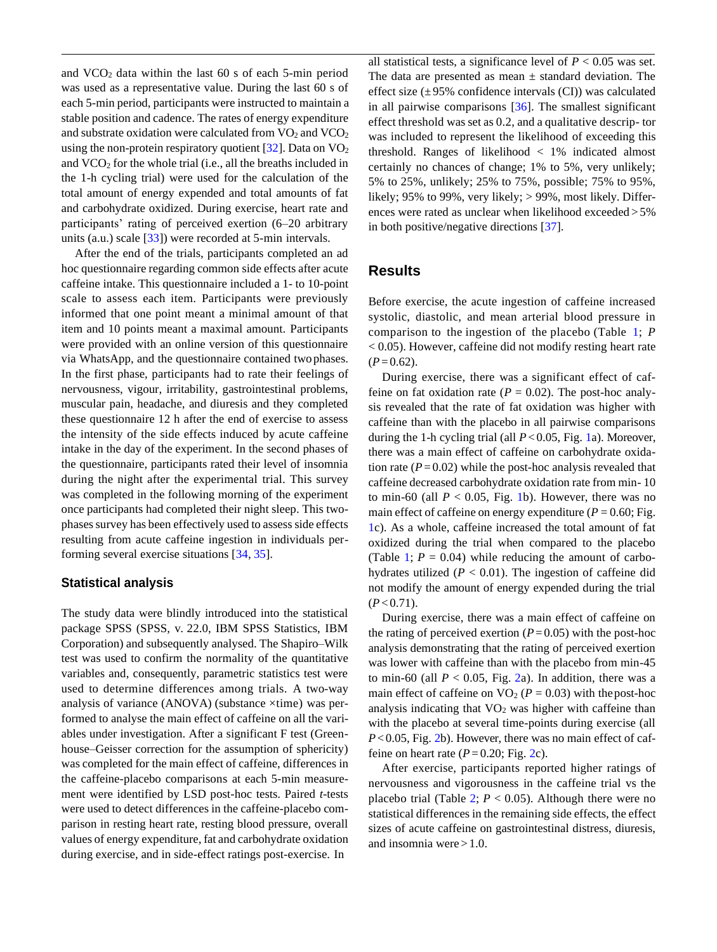and  $VCO<sub>2</sub>$  data within the last 60 s of each 5-min period was used as a representative value. During the last 60 s of each 5-min period, participants were instructed to maintain a stable position and cadence. The rates of energy expenditure and substrate oxidation were calculated from  $VO<sub>2</sub>$  and  $VCO<sub>2</sub>$ using the non-protein respiratory quotient  $[32]$ . Data on VO<sub>2</sub> and  $VCO<sub>2</sub>$  for the whole trial (i.e., all the breaths included in the 1-h cycling trial) were used for the calculation of the total amount of energy expended and total amounts of fat and carbohydrate oxidized. During exercise, heart rate and participants' rating of perceived exertion (6–20 arbitrary units (a.u.) scale [\[33\]](#page-8-4)) were recorded at 5-min intervals.

After the end of the trials, participants completed an ad hoc questionnaire regarding common side effects after acute caffeine intake. This questionnaire included a 1- to 10-point scale to assess each item. Participants were previously informed that one point meant a minimal amount of that item and 10 points meant a maximal amount. Participants were provided with an online version of this questionnaire via WhatsApp, and the questionnaire contained twophases. In the first phase, participants had to rate their feelings of nervousness, vigour, irritability, gastrointestinal problems, muscular pain, headache, and diuresis and they completed these questionnaire 12 h after the end of exercise to assess the intensity of the side effects induced by acute caffeine intake in the day of the experiment. In the second phases of the questionnaire, participants rated their level of insomnia during the night after the experimental trial. This survey was completed in the following morning of the experiment once participants had completed their night sleep. This twophases survey has been effectively used to assess side effects resulting from acute caffeine ingestion in individuals performing several exercise situations [\[34,](#page-8-5) [35\]](#page-8-6).

#### **Statistical analysis**

The study data were blindly introduced into the statistical package SPSS (SPSS, v. 22.0, IBM SPSS Statistics, IBM Corporation) and subsequently analysed. The Shapiro–Wilk test was used to confirm the normality of the quantitative variables and, consequently, parametric statistics test were used to determine differences among trials. A two-way analysis of variance (ANOVA) (substance ×time) was performed to analyse the main effect of caffeine on all the variables under investigation. After a significant F test (Greenhouse–Geisser correction for the assumption of sphericity) was completed for the main effect of caffeine, differences in the caffeine-placebo comparisons at each 5-min measurement were identified by LSD post-hoc tests. Paired *t*-tests were used to detect differences in the caffeine-placebo comparison in resting heart rate, resting blood pressure, overall values of energy expenditure, fat and carbohydrate oxidation during exercise, and in side-effect ratings post-exercise. In

all statistical tests, a significance level of  $P < 0.05$  was set. The data are presented as mean  $\pm$  standard deviation. The effect size  $(\pm 95\%$  confidence intervals (CI)) was calculated in all pairwise comparisons [\[36\]](#page-8-7). The smallest significant effect threshold was set as 0.2, and a qualitative descrip- tor was included to represent the likelihood of exceeding this threshold. Ranges of likelihood < 1% indicated almost certainly no chances of change; 1% to 5%, very unlikely; 5% to 25%, unlikely; 25% to 75%, possible; 75% to 95%, likely; 95% to 99%, very likely; > 99%, most likely. Differences were rated as unclear when likelihood exceeded > 5% in both positive/negative directions [\[37\]](#page-8-8).

## **Results**

Before exercise, the acute ingestion of caffeine increased systolic, diastolic, and mean arterial blood pressure in comparison to the ingestion of the placebo (Table [1;](#page-4-0) *P*  < 0.05). However, caffeine did not modify resting heart rate  $(P=0.62)$ .

During exercise, there was a significant effect of caffeine on fat oxidation rate ( $P = 0.02$ ). The post-hoc analysis revealed that the rate of fat oxidation was higher with caffeine than with the placebo in all pairwise comparisons during the 1-h cycling trial (all  $P < 0.05$ , Fig. [1a](#page-5-0)). Moreover, there was a main effect of caffeine on carbohydrate oxidation rate  $(P=0.02)$  while the post-hoc analysis revealed that caffeine decreased carbohydrate oxidation rate from min- 10 to min-60 (all  $P < 0.05$ , Fig. [1b](#page-5-0)). However, there was no main effect of caffeine on energy expenditure  $(P = 0.60; Fig.$ [1c](#page-5-0)). As a whole, caffeine increased the total amount of fat oxidized during the trial when compared to the placebo (Table [1;](#page-4-0)  $P = 0.04$ ) while reducing the amount of carbohydrates utilized  $(P < 0.01)$ . The ingestion of caffeine did not modify the amount of energy expended during the trial  $(P<0.71)$ .

During exercise, there was a main effect of caffeine on the rating of perceived exertion  $(P=0.05)$  with the post-hoc analysis demonstrating that the rating of perceived exertion was lower with caffeine than with the placebo from min-45 to min-60 (all  $P < 0.05$ , Fig. [2a](#page-5-1)). In addition, there was a main effect of caffeine on  $VO<sub>2</sub>$  ( $P = 0.03$ ) with the post-hoc analysis indicating that  $VO<sub>2</sub>$  was higher with caffeine than with the placebo at several time-points during exercise (all *P*<0.05, Fig. [2b](#page-5-1)). However, there was no main effect of caffeine on heart rate  $(P= 0.20; Fig. 2c)$  $(P= 0.20; Fig. 2c)$  $(P= 0.20; Fig. 2c)$ .

After exercise, participants reported higher ratings of nervousness and vigorousness in the caffeine trial vs the placebo trial (Table [2;](#page-6-0)  $P < 0.05$ ). Although there were no statistical differences in the remaining side effects, the effect sizes of acute caffeine on gastrointestinal distress, diuresis, and insomnia were  $>1.0$ .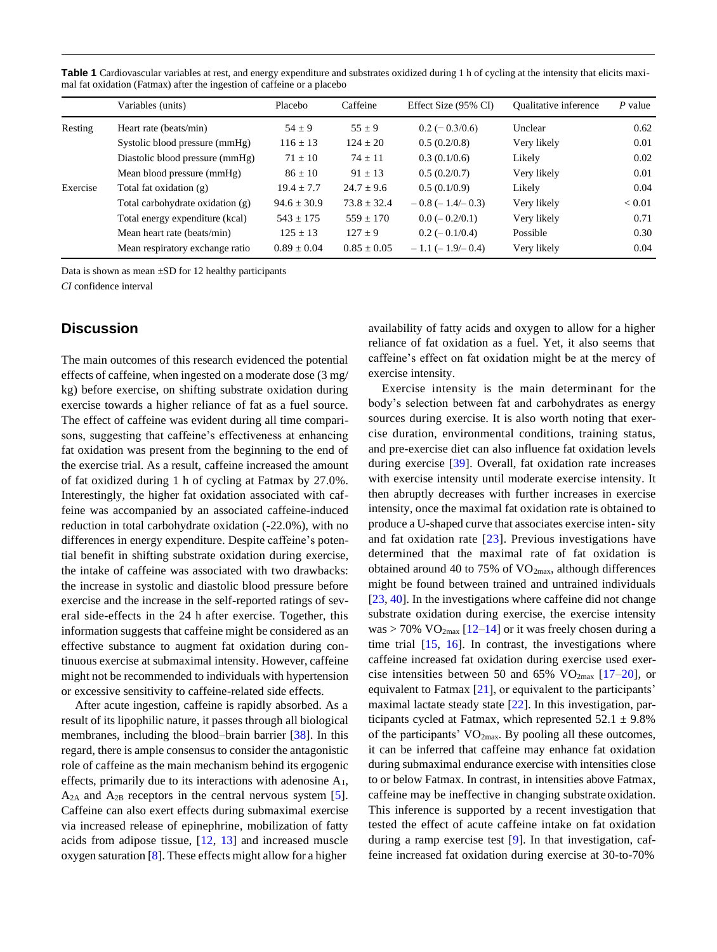<span id="page-4-0"></span>Table 1 Cardiovascular variables at rest, and energy expenditure and substrates oxidized during 1 h of cycling at the intensity that elicits maximal fat oxidation (Fatmax) after the ingestion of caffeine or a placebo

|          | Variables (units)                | Placebo         | Caffeine        | Effect Size (95% CI)       | <b>Oualitative inference</b> | $P$ value |
|----------|----------------------------------|-----------------|-----------------|----------------------------|------------------------------|-----------|
| Resting  | Heart rate (beats/min)           | $54 \pm 9$      | $55 \pm 9$      | $0.2 (-0.3/0.6)$           | Unclear                      | 0.62      |
|          | Systolic blood pressure (mmHg)   | $116 \pm 13$    | $124 \pm 20$    | 0.5(0.2/0.8)               | Very likely                  | 0.01      |
|          | Diastolic blood pressure (mmHg)  | $71 \pm 10$     | $74 \pm 11$     | 0.3(0.1/0.6)               | Likely                       | 0.02      |
|          | Mean blood pressure (mmHg)       | $86 \pm 10$     | $91 \pm 13$     | 0.5(0.2/0.7)               | Very likely                  | 0.01      |
| Exercise | Total fat oxidation (g)          | $19.4 \pm 7.7$  | $24.7 \pm 9.6$  | 0.5(0.1/0.9)               | Likely                       | 0.04      |
|          | Total carbohydrate oxidation (g) | $94.6 \pm 30.9$ | $73.8 \pm 32.4$ | $-0.8$ ( $-1.4$ / $-0.3$ ) | Very likely                  | < 0.01    |
|          | Total energy expenditure (kcal)  | $543 \pm 175$   | $559 + 170$     | $0.0 (-0.2/0.1)$           | Very likely                  | 0.71      |
|          | Mean heart rate (beats/min)      | $125 \pm 13$    | $127 \pm 9$     | $0.2 (-0.1/0.4)$           | Possible                     | 0.30      |
|          | Mean respiratory exchange ratio  | $0.89 + 0.04$   | $0.85 + 0.05$   | $-1.1$ ( $-1.9$ / $-0.4$ ) | Very likely                  | 0.04      |

Data is shown as mean ±SD for 12 healthy participants

*CI* confidence interval

# **Discussion**

The main outcomes of this research evidenced the potential effects of caffeine, when ingested on a moderate dose (3 mg/ kg) before exercise, on shifting substrate oxidation during exercise towards a higher reliance of fat as a fuel source. The effect of caffeine was evident during all time comparisons, suggesting that caffeine's effectiveness at enhancing fat oxidation was present from the beginning to the end of the exercise trial. As a result, caffeine increased the amount of fat oxidized during 1 h of cycling at Fatmax by 27.0%. Interestingly, the higher fat oxidation associated with caffeine was accompanied by an associated caffeine-induced reduction in total carbohydrate oxidation (-22.0%), with no differences in energy expenditure. Despite caffeine's potential benefit in shifting substrate oxidation during exercise, the intake of caffeine was associated with two drawbacks: the increase in systolic and diastolic blood pressure before exercise and the increase in the self-reported ratings of several side-effects in the 24 h after exercise. Together, this information suggests that caffeine might be considered as an effective substance to augment fat oxidation during continuous exercise at submaximal intensity. However, caffeine might not be recommended to individuals with hypertension or excessive sensitivity to caffeine-related side effects.

After acute ingestion, caffeine is rapidly absorbed. As a result of its lipophilic nature, it passes through all biological membranes, including the blood–brain barrier [\[38\]](#page-8-9). In this regard, there is ample consensus to consider the antagonistic role of caffeine as the main mechanism behind its ergogenic effects, primarily due to its interactions with adenosine  $A_1$ ,  $A_{2A}$  and  $A_{2B}$  receptors in the central nervous system [\[5\]](#page-7-4). Caffeine can also exert effects during submaximal exercise via increased release of epinephrine, mobilization of fatty acids from adipose tissue,  $[12, 13]$  $[12, 13]$  and increased muscle oxygen saturation [\[8\]](#page-7-6). These effects might allow for a higher

availability of fatty acids and oxygen to allow for a higher reliance of fat oxidation as a fuel. Yet, it also seems that caffeine's effect on fat oxidation might be at the mercy of exercise intensity.

Exercise intensity is the main determinant for the body's selection between fat and carbohydrates as energy sources during exercise. It is also worth noting that exercise duration, environmental conditions, training status, and pre-exercise diet can also influence fat oxidation levels during exercise [\[39\]](#page-8-10). Overall, fat oxidation rate increases with exercise intensity until moderate exercise intensity. It then abruptly decreases with further increases in exercise intensity, once the maximal fat oxidation rate is obtained to produce a U-shaped curve that associates exercise inten- sity and fat oxidation rate [\[23\]](#page-7-14). Previous investigations have determined that the maximal rate of fat oxidation is obtained around 40 to 75% of  $VO<sub>2max</sub>$ , although differences might be found between trained and untrained individuals [\[23,](#page-7-14) [40\]](#page-8-11). In the investigations where caffeine did not change substrate oxidation during exercise, the exercise intensity was > 70%  $VO<sub>2max</sub>$  [\[12](#page-7-10)[–14\]](#page-7-21) or it was freely chosen during a time trial  $[15, 16]$  $[15, 16]$ . In contrast, the investigations where caffeine increased fat oxidation during exercise used exercise intensities between 50 and 65%  $VO_{2max}$  [\[17](#page-7-12)[–20\]](#page-7-23), or equivalent to Fatmax [\[21\]](#page-7-24), or equivalent to the participants' maximal lactate steady state [\[22\]](#page-7-13). In this investigation, participants cycled at Fatmax, which represented  $52.1 \pm 9.8\%$ of the participants'  $VO<sub>2max</sub>$ . By pooling all these outcomes, it can be inferred that caffeine may enhance fat oxidation during submaximal endurance exercise with intensities close to or below Fatmax. In contrast, in intensities above Fatmax, caffeine may be ineffective in changing substrateoxidation. This inference is supported by a recent investigation that tested the effect of acute caffeine intake on fat oxidation during a ramp exercise test [\[9\]](#page-7-7). In that investigation, caffeine increased fat oxidation during exercise at 30-to-70%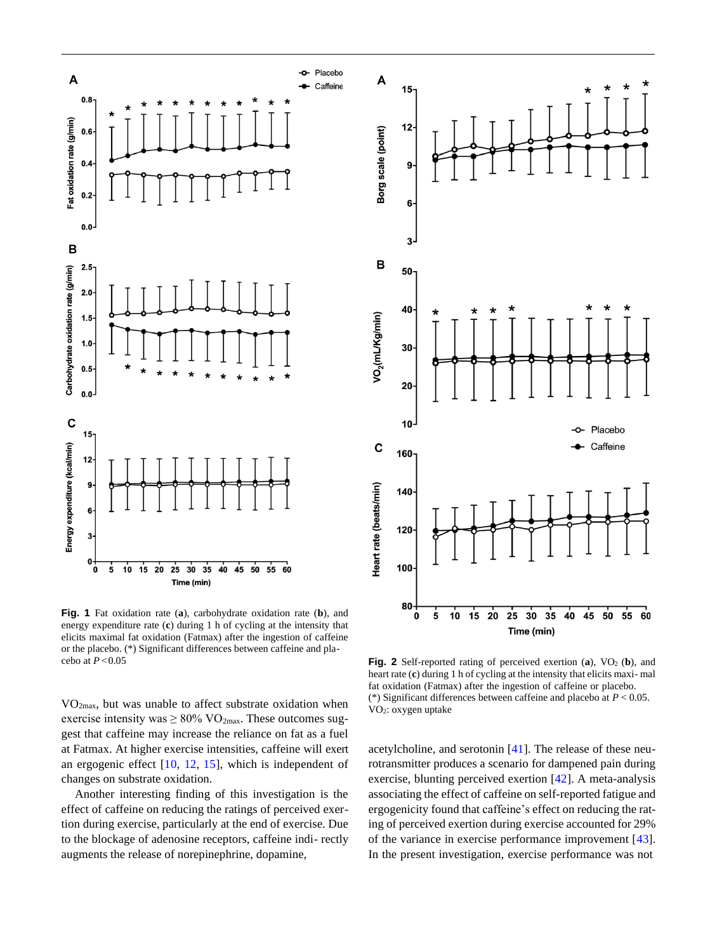

<span id="page-5-0"></span>**Fig. 1** Fat oxidation rate (**a**), carbohydrate oxidation rate (**b**), and energy expenditure rate (**c**) during 1 h of cycling at the intensity that elicits maximal fat oxidation (Fatmax) after the ingestion of caffeine or the placebo. (\*) Significant differences between caffeine and pla-

VO2max, but was unable to affect substrate oxidation when exercise intensity was  $\geq 80\%$  VO<sub>2max</sub>. These outcomes suggest that caffeine may increase the reliance on fat as a fuel at Fatmax. At higher exercise intensities, caffeine will exert an ergogenic effect [\[10,](#page-7-8) [12,](#page-7-10) [15\]](#page-7-22), which is independent of changes on substrate oxidation.

Another interesting finding of this investigation is the effect of caffeine on reducing the ratings of perceived exertion during exercise, particularly at the end of exercise. Due to the blockage of adenosine receptors, caffeine indi- rectly augments the release of norepinephrine, dopamine,



cebo at *P* <0.05 **Fig. 2** Self-reported rating of perceived exertion (**a**), VO<sup>2</sup> (**b**), and heart rate (**c**) during 1 h of cycling at the intensity that elicits maxi- mal fat oxidation (Fatmax) after the ingestion of caffeine or placebo. (\*) Significant differences between caffeine and placebo at *P* < 0.05. VO2: oxygen uptake

<span id="page-5-1"></span>acetylcholine, and serotonin [\[41\]](#page-8-12). The release of these neurotransmitter produces a scenario for dampened pain during exercise, blunting perceived exertion [\[42\]](#page-8-13). A meta-analysis associating the effect of caffeine on self-reported fatigue and ergogenicity found that caffeine's effect on reducing the rating of perceived exertion during exercise accounted for 29% of the variance in exercise performance improvement [\[43\]](#page-8-14). In the present investigation, exercise performance was not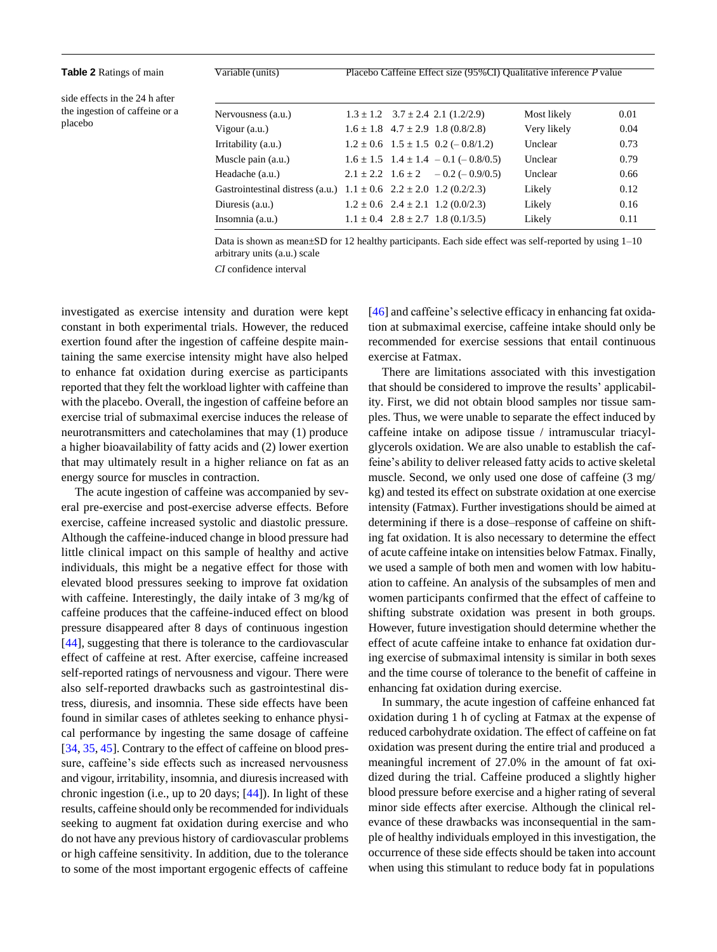<span id="page-6-0"></span>**Table 2** Ratings of main Variable (units) Placebo Caffeine Effect size (95%CI) Qualitative inference *P* value

side effects in the 24 h after the ingestion of caffeine or a placebo

| Nervousness (a.u.)                                                           |  | $1.3 \pm 1.2$ $3.7 \pm 2.4$ 2.1 (1.2/2.9)           | Most likely | 0.01 |
|------------------------------------------------------------------------------|--|-----------------------------------------------------|-------------|------|
| Vigour $(a.u.)$                                                              |  | $1.6 \pm 1.8$ 4.7 $\pm$ 2.9 1.8 (0.8/2.8)           | Very likely | 0.04 |
| Irritability (a.u.)                                                          |  | $1.2 \pm 0.6$ $1.5 \pm 1.5$ $0.2 (-0.8/1.2)$        | Unclear     | 0.73 |
| Muscle pain (a.u.)                                                           |  | $1.6 \pm 1.5$ $1.4 \pm 1.4$ $- 0.1$ ( $- 0.8/0.5$ ) | Unclear     | 0.79 |
| Headache (a.u.)                                                              |  | $2.1 \pm 2.2$ $1.6 \pm 2$ $-0.2$ (-0.9/0.5)         | Unclear     | 0.66 |
| Gastrointestinal distress (a.u.) $1.1 \pm 0.6$ $2.2 \pm 2.0$ $1.2$ (0.2/2.3) |  |                                                     | Likely      | 0.12 |
| Diuresis (a.u.)                                                              |  | $1.2 \pm 0.6$ $2.4 \pm 2.1$ $1.2$ (0.0/2.3)         | Likely      | 0.16 |
| Insomnia (a.u.)                                                              |  | $1.1 \pm 0.4$ $2.8 \pm 2.7$ $1.8$ (0.1/3.5)         | Likely      | 0.11 |
|                                                                              |  |                                                     |             |      |

Data is shown as mean±SD for 12 healthy participants. Each side effect was self-reported by using 1–10 arbitrary units (a.u.) scale

*CI* confidence interval

investigated as exercise intensity and duration were kept constant in both experimental trials. However, the reduced exertion found after the ingestion of caffeine despite maintaining the same exercise intensity might have also helped to enhance fat oxidation during exercise as participants reported that they felt the workload lighter with caffeine than with the placebo. Overall, the ingestion of caffeine before an exercise trial of submaximal exercise induces the release of neurotransmitters and catecholamines that may (1) produce a higher bioavailability of fatty acids and (2) lower exertion that may ultimately result in a higher reliance on fat as an energy source for muscles in contraction.

The acute ingestion of caffeine was accompanied by several pre-exercise and post-exercise adverse effects. Before exercise, caffeine increased systolic and diastolic pressure. Although the caffeine-induced change in blood pressure had little clinical impact on this sample of healthy and active individuals, this might be a negative effect for those with elevated blood pressures seeking to improve fat oxidation with caffeine. Interestingly, the daily intake of 3 mg/kg of caffeine produces that the caffeine-induced effect on blood pressure disappeared after 8 days of continuous ingestion [\[44\]](#page-8-15), suggesting that there is tolerance to the cardiovascular effect of caffeine at rest. After exercise, caffeine increased self-reported ratings of nervousness and vigour. There were also self-reported drawbacks such as gastrointestinal distress, diuresis, and insomnia. These side effects have been found in similar cases of athletes seeking to enhance physical performance by ingesting the same dosage of caffeine [\[34,](#page-8-5) [35,](#page-8-6) [45\]](#page-8-16). Contrary to the effect of caffeine on blood pressure, caffeine's side effects such as increased nervousness and vigour, irritability, insomnia, and diuresis increased with chronic ingestion (i.e., up to 20 days; [\[44\]](#page-8-15)). In light of these results, caffeine should only be recommended forindividuals seeking to augment fat oxidation during exercise and who do not have any previous history of cardiovascular problems or high caffeine sensitivity. In addition, due to the tolerance to some of the most important ergogenic effects of caffeine

 $[46]$  and caffeine's selective efficacy in enhancing fat oxidation at submaximal exercise, caffeine intake should only be recommended for exercise sessions that entail continuous exercise at Fatmax.

There are limitations associated with this investigation that should be considered to improve the results' applicability. First, we did not obtain blood samples nor tissue samples. Thus, we were unable to separate the effect induced by caffeine intake on adipose tissue / intramuscular triacylglycerols oxidation. We are also unable to establish the caffeine's ability to deliver released fatty acids to active skeletal muscle. Second, we only used one dose of caffeine (3 mg/ kg) and tested its effect on substrate oxidation at one exercise intensity (Fatmax). Further investigations should be aimed at determining if there is a dose–response of caffeine on shifting fat oxidation. It is also necessary to determine the effect of acute caffeine intake on intensities below Fatmax. Finally, we used a sample of both men and women with low habituation to caffeine. An analysis of the subsamples of men and women participants confirmed that the effect of caffeine to shifting substrate oxidation was present in both groups. However, future investigation should determine whether the effect of acute caffeine intake to enhance fat oxidation during exercise of submaximal intensity is similar in both sexes and the time course of tolerance to the benefit of caffeine in enhancing fat oxidation during exercise.

In summary, the acute ingestion of caffeine enhanced fat oxidation during 1 h of cycling at Fatmax at the expense of reduced carbohydrate oxidation. The effect of caffeine on fat oxidation was present during the entire trial and produced a meaningful increment of 27.0% in the amount of fat oxidized during the trial. Caffeine produced a slightly higher blood pressure before exercise and a higher rating of several minor side effects after exercise. Although the clinical relevance of these drawbacks was inconsequential in the sample of healthy individuals employed in this investigation, the occurrence of these side effects should be taken into account when using this stimulant to reduce body fat in populations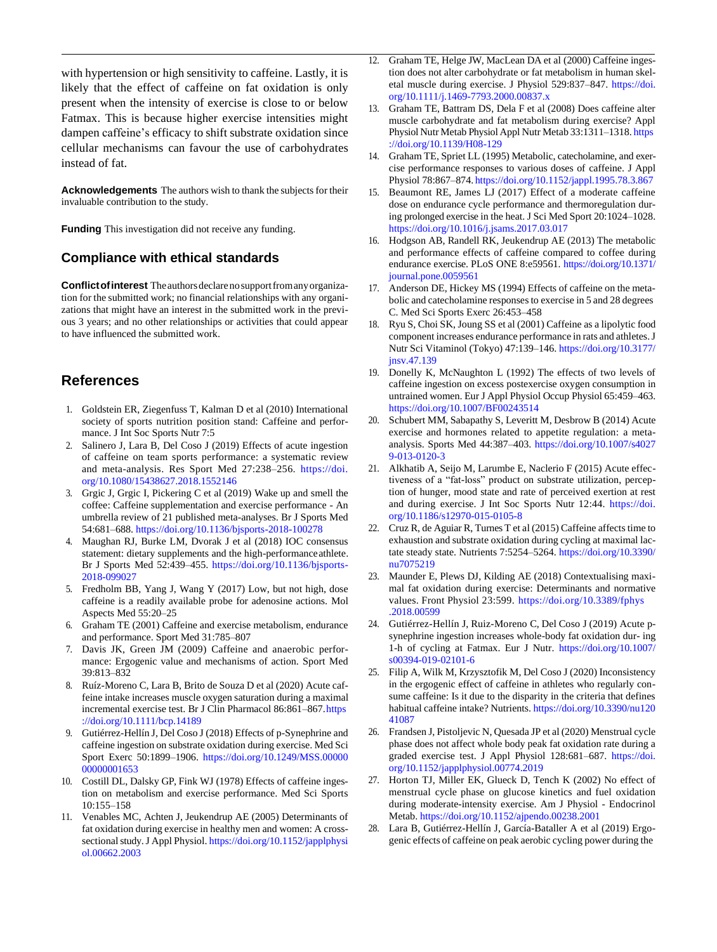with hypertension or high sensitivity to caffeine. Lastly, it is likely that the effect of caffeine on fat oxidation is only present when the intensity of exercise is close to or below Fatmax. This is because higher exercise intensities might dampen caffeine's efficacy to shift substrate oxidation since cellular mechanisms can favour the use of carbohydrates instead of fat.

Acknowledgements The authors wish to thank the subjects for their invaluable contribution to the study.

**Funding** This investigation did not receive any funding.

#### **Compliance with ethical standards**

**Conflict of interest** The authors declare no support from any organization for the submitted work; no financial relationships with any organizations that might have an interest in the submitted work in the previous 3 years; and no other relationships or activities that could appear to have influenced the submitted work.

# <span id="page-7-0"></span>**References**

- 1. Goldstein ER, Ziegenfuss T, Kalman D et al (2010) International society of sports nutrition position stand: Caffeine and performance. J Int Soc Sports Nutr 7:5
- 2. Salinero J, Lara B, Del Coso J (2019) Effects of acute ingestion of caffeine on team sports performance: a systematic review and meta-analysis. Res Sport Med 27:238–256. [https://doi.](https://doi.org/10.1080/15438627.2018.1552146) [org/10.1080/15438627.2018.1552146](https://doi.org/10.1080/15438627.2018.1552146)
- 3. Grgic J, Grgic I, Pickering C et al (2019) Wake up and smell the coffee: Caffeine supplementation and exercise performance - An umbrella review of 21 published meta-analyses. Br J Sports Med 54:681–688. <https://doi.org/10.1136/bjsports-2018-100278>
- 4. Maughan RJ, Burke LM, Dvorak J et al (2018) IOC consensus statement: dietary supplements and the high-performanceathlete. Br J Sports Med 52:439–455. [https://doi.org/10.1136/bjsports-](https://doi.org/10.1136/bjsports-2018-099027)[2018-099027](https://doi.org/10.1136/bjsports-2018-099027)
- 5. Fredholm BB, Yang J, Wang Y (2017) Low, but not high, dose caffeine is a readily available probe for adenosine actions. Mol Aspects Med 55:20–25
- 6. Graham TE (2001) Caffeine and exercise metabolism, endurance and performance. Sport Med 31:785–807
- 7. Davis JK, Green JM (2009) Caffeine and anaerobic performance: Ergogenic value and mechanisms of action. Sport Med 39:813–832
- 8. Ruíz-Moreno C, Lara B, Brito de Souza D et al (2020) Acute caffeine intake increases muscle oxygen saturation during a maximal incremental exercise test. Br J Clin Pharmacol 86:861-867[.https](https://doi.org/10.1111/bcp.14189) [://doi.org/10.1111/bcp.14189](https://doi.org/10.1111/bcp.14189)
- <span id="page-7-7"></span>9. Gutiérrez-Hellín J, Del Coso J (2018) Effects of p-Synephrine and caffeine ingestion on substrate oxidation during exercise. Med Sci Sport Exerc 50:1899–1906. [https://doi.org/10.1249/MSS.00000](https://doi.org/10.1249/MSS.0000000000001653) [00000001653](https://doi.org/10.1249/MSS.0000000000001653)
- 10. Costill DL, Dalsky GP, Fink WJ (1978) Effects of caffeine ingestion on metabolism and exercise performance. Med Sci Sports 10:155–158
- <span id="page-7-10"></span>11. Venables MC, Achten J, Jeukendrup AE (2005) Determinants of fat oxidation during exercise in healthy men and women: A crosssectional study. J Appl Physiol. [https://doi.org/10.1152/japplphysi](https://doi.org/10.1152/japplphysiol.00662.2003) [ol.00662.2003](https://doi.org/10.1152/japplphysiol.00662.2003)
- <span id="page-7-20"></span>12. Graham TE, Helge JW, MacLean DA et al (2000) Caffeine ingestion does not alter carbohydrate or fat metabolism in human skeletal muscle during exercise. J Physiol 529:837–847. [https://doi.](https://doi.org/10.1111/j.1469-7793.2000.00837.x) [org/10.1111/j.1469-7793.2000.00837.x](https://doi.org/10.1111/j.1469-7793.2000.00837.x)
- 13. Graham TE, Battram DS, Dela F et al (2008) Does caffeine alter muscle carbohydrate and fat metabolism during exercise? Appl Physiol Nutr Metab Physiol Appl Nutr Metab 33:1311–1318. [https](https://doi.org/10.1139/H08-129) [://doi.org/10.1139/H08-129](https://doi.org/10.1139/H08-129)
- <span id="page-7-22"></span><span id="page-7-21"></span>14. Graham TE, Spriet LL (1995) Metabolic, catecholamine, and exercise performance responses to various doses of caffeine. J Appl Physiol 78:867–874. <https://doi.org/10.1152/jappl.1995.78.3.867>
- 15. Beaumont RE, James LJ (2017) Effect of a moderate caffeine dose on endurance cycle performance and thermoregulation during prolonged exercise in the heat. J Sci Med Sport 20:1024–1028. <https://doi.org/10.1016/j.jsams.2017.03.017>
- <span id="page-7-12"></span><span id="page-7-11"></span>16. Hodgson AB, Randell RK, Jeukendrup AE (2013) The metabolic and performance effects of caffeine compared to coffee during endurance exercise. PLoS ONE 8:e59561[. https://doi.org/10.1371/](https://doi.org/10.1371/journal.pone.0059561) [journal.pone.0059561](https://doi.org/10.1371/journal.pone.0059561)
- 17. Anderson DE, Hickey MS (1994) Effects of caffeine on the metabolic and catecholamine responses to exercise in 5 and 28 degrees C. Med Sci Sports Exerc 26:453–458
- 18. Ryu S, Choi SK, Joung SS et al (2001) Caffeine as a lipolytic food component increases endurance performance in rats and athletes.J Nutr Sci Vitaminol (Tokyo) 47:139–146. [https://doi.org/10.3177/](https://doi.org/10.3177/jnsv.47.139) [jnsv.47.139](https://doi.org/10.3177/jnsv.47.139)
- <span id="page-7-23"></span>19. Donelly K, McNaughton L (1992) The effects of two levels of caffeine ingestion on excess postexercise oxygen consumption in untrained women. Eur J Appl Physiol Occup Physiol 65:459–463. <https://doi.org/10.1007/BF00243514>
- <span id="page-7-24"></span><span id="page-7-1"></span>20. Schubert MM, Sabapathy S, Leveritt M, Desbrow B (2014) Acute exercise and hormones related to appetite regulation: a metaanalysis. Sports Med 44:387–403. [https://doi.org/10.1007/s4027](https://doi.org/10.1007/s40279-013-0120-3) [9-013-0120-3](https://doi.org/10.1007/s40279-013-0120-3)
- <span id="page-7-2"></span>21. Alkhatib A, Seijo M, Larumbe E, Naclerio F (2015) Acute effectiveness of a "fat-loss" product on substrate utilization, perception of hunger, mood state and rate of perceived exertion at rest and during exercise. J Int Soc Sports Nutr 12:44. [https://doi.](https://doi.org/10.1186/s12970-015-0105-8) [org/10.1186/s12970-015-0105-8](https://doi.org/10.1186/s12970-015-0105-8)
- <span id="page-7-14"></span><span id="page-7-13"></span><span id="page-7-3"></span>22. Cruz R, de Aguiar R, Turnes T et al  $(2015)$  Caffeine affects time to exhaustion and substrate oxidation during cycling at maximal lactate steady state. Nutrients 7:5254–5264[. https://doi.org/10.3390/](https://doi.org/10.3390/nu7075219) [nu7075219](https://doi.org/10.3390/nu7075219)
- <span id="page-7-4"></span>23. Maunder E, Plews DJ, Kilding AE (2018) Contextualising maximal fat oxidation during exercise: Determinants and normative values. Front Physiol 23:599. [https://doi.org/10.3389/fphys](https://doi.org/10.3389/fphys.2018.00599) [.2018.00599](https://doi.org/10.3389/fphys.2018.00599)
- <span id="page-7-16"></span><span id="page-7-15"></span><span id="page-7-5"></span>24. Gutiérrez-Hellín J, Ruiz-Moreno C, Del Coso J (2019) Acute psynephrine ingestion increases whole-body fat oxidation dur- ing 1-h of cycling at Fatmax. Eur J Nutr. [https://doi.org/10.1007/](https://doi.org/10.1007/s00394-019-02101-6) [s00394-019-02101-6](https://doi.org/10.1007/s00394-019-02101-6)
- <span id="page-7-6"></span>25. Filip A, Wilk M, Krzysztofik M, Del Coso J (2020) Inconsistency in the ergogenic effect of caffeine in athletes who regularly consume caffeine: Is it due to the disparity in the criteria that defines habitual caffeine intake? Nutrients. [https://doi.org/10.3390/nu120](https://doi.org/10.3390/nu12041087) [41087](https://doi.org/10.3390/nu12041087)
- <span id="page-7-17"></span><span id="page-7-8"></span>26. Frandsen J, Pistoljevic N, Quesada JP et al (2020) Menstrual cycle phase does not affect whole body peak fat oxidation rate during a graded exercise test. J Appl Physiol 128:681–687. [https://doi.](https://doi.org/10.1152/japplphysiol.00774.2019) [org/10.1152/japplphysiol.00774.2019](https://doi.org/10.1152/japplphysiol.00774.2019)
- <span id="page-7-19"></span><span id="page-7-18"></span><span id="page-7-9"></span>Horton TJ, Miller EK, Glueck D, Tench K (2002) No effect of menstrual cycle phase on glucose kinetics and fuel oxidation during moderate-intensity exercise. Am J Physiol - Endocrinol Metab. <https://doi.org/10.1152/ajpendo.00238.2001>
- 28. Lara B, Gutiérrez-Hellín J, García-Bataller A et al (2019) Ergogenic effects of caffeine on peak aerobic cycling power during the